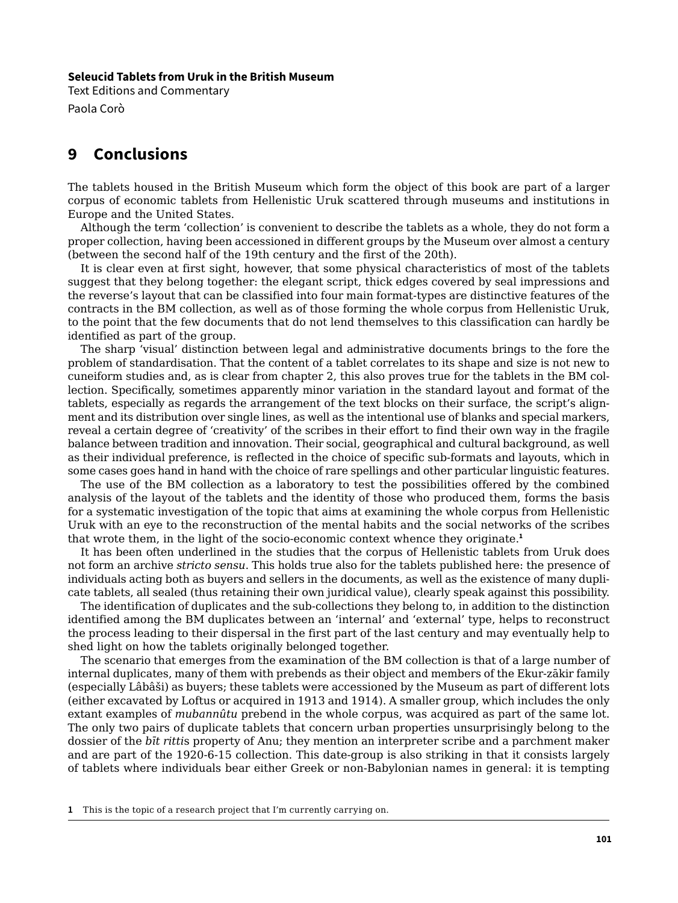## **Seleucid Tablets from Uruk in the British Museum**

Text Editions and Commentary Paola Corò

## **9 Conclusions**

The tablets housed in the British Museum which form the object of this book are part of a larger corpus of economic tablets from Hellenistic Uruk scattered through museums and institutions in Europe and the United States.

Although the term 'collection' is convenient to describe the tablets as a whole, they do not form a proper collection, having been accessioned in different groups by the Museum over almost a century (between the second half of the 19th century and the first of the 20th).

It is clear even at first sight, however, that some physical characteristics of most of the tablets suggest that they belong together: the elegant script, thick edges covered by seal impressions and the reverse's layout that can be classified into four main format-types are distinctive features of the contracts in the BM collection, as well as of those forming the whole corpus from Hellenistic Uruk, to the point that the few documents that do not lend themselves to this classification can hardly be identified as part of the group.

The sharp 'visual' distinction between legal and administrative documents brings to the fore the problem of standardisation. That the content of a tablet correlates to its shape and size is not new to cuneiform studies and, as is clear from chapter 2, this also proves true for the tablets in the BM collection. Specifically, sometimes apparently minor variation in the standard layout and format of the tablets, especially as regards the arrangement of the text blocks on their surface, the script's alignment and its distribution over single lines, as well as the intentional use of blanks and special markers, reveal a certain degree of 'creativity' of the scribes in their effort to find their own way in the fragile balance between tradition and innovation. Their social, geographical and cultural background, as well as their individual preference, is reflected in the choice of specific sub-formats and layouts, which in some cases goes hand in hand with the choice of rare spellings and other particular linguistic features.

The use of the BM collection as a laboratory to test the possibilities offered by the combined analysis of the layout of the tablets and the identity of those who produced them, forms the basis for a systematic investigation of the topic that aims at examining the whole corpus from Hellenistic Uruk with an eye to the reconstruction of the mental habits and the social networks of the scribes that wrote them, in the light of the socio-economic context whence they originate.**<sup>1</sup>**

It has been often underlined in the studies that the corpus of Hellenistic tablets from Uruk does not form an archive *stricto sensu*. This holds true also for the tablets published here: the presence of individuals acting both as buyers and sellers in the documents, as well as the existence of many duplicate tablets, all sealed (thus retaining their own juridical value), clearly speak against this possibility.

The identification of duplicates and the sub-collections they belong to, in addition to the distinction identified among the BM duplicates between an 'internal' and 'external' type, helps to reconstruct the process leading to their dispersal in the first part of the last century and may eventually help to shed light on how the tablets originally belonged together.

The scenario that emerges from the examination of the BM collection is that of a large number of internal duplicates, many of them with prebends as their object and members of the Ekur-zākir family (especially Lâbâši) as buyers; these tablets were accessioned by the Museum as part of different lots (either excavated by Loftus or acquired in 1913 and 1914). A smaller group, which includes the only extant examples of *mubannûtu* prebend in the whole corpus, was acquired as part of the same lot. The only two pairs of duplicate tablets that concern urban properties unsurprisingly belong to the dossier of the *bīt ritti*s property of Anu; they mention an interpreter scribe and a parchment maker and are part of the 1920-6-15 collection. This date-group is also striking in that it consists largely of tablets where individuals bear either Greek or non-Babylonian names in general: it is tempting

**1** This is the topic of a research project that I'm currently carrying on.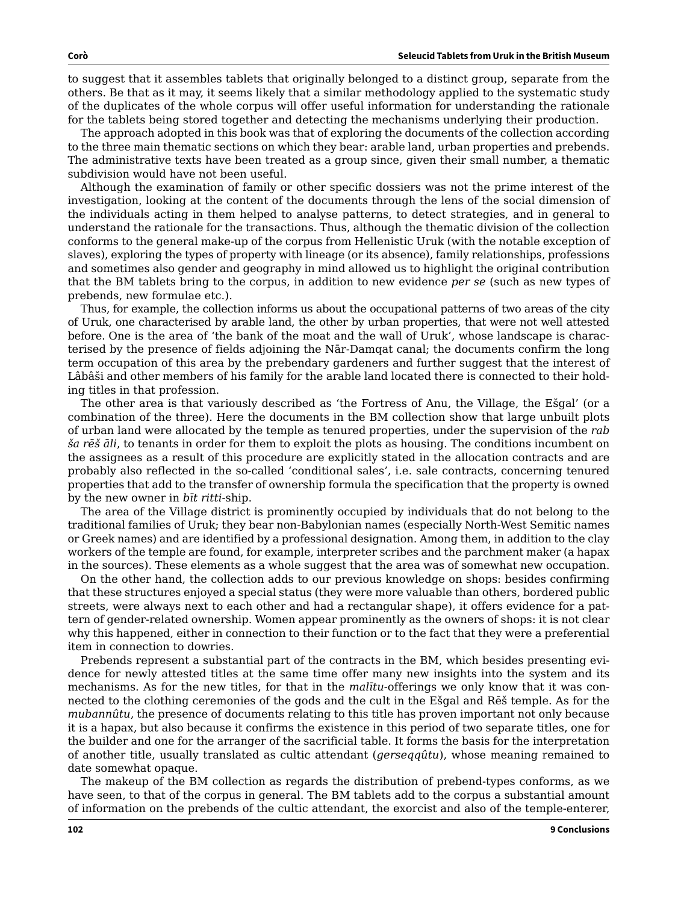to suggest that it assembles tablets that originally belonged to a distinct group, separate from the others. Be that as it may, it seems likely that a similar methodology applied to the systematic study of the duplicates of the whole corpus will offer useful information for understanding the rationale for the tablets being stored together and detecting the mechanisms underlying their production.

The approach adopted in this book was that of exploring the documents of the collection according to the three main thematic sections on which they bear: arable land, urban properties and prebends. The administrative texts have been treated as a group since, given their small number, a thematic subdivision would have not been useful.

Although the examination of family or other specific dossiers was not the prime interest of the investigation, looking at the content of the documents through the lens of the social dimension of the individuals acting in them helped to analyse patterns, to detect strategies, and in general to understand the rationale for the transactions. Thus, although the thematic division of the collection conforms to the general make-up of the corpus from Hellenistic Uruk (with the notable exception of slaves), exploring the types of property with lineage (or its absence), family relationships, professions and sometimes also gender and geography in mind allowed us to highlight the original contribution that the BM tablets bring to the corpus, in addition to new evidence *per se* (such as new types of prebends, new formulae etc.).

Thus, for example, the collection informs us about the occupational patterns of two areas of the city of Uruk, one characterised by arable land, the other by urban properties, that were not well attested before. One is the area of 'the bank of the moat and the wall of Uruk', whose landscape is characterised by the presence of fields adjoining the Nār-Damqat canal; the documents confirm the long term occupation of this area by the prebendary gardeners and further suggest that the interest of Lâbâši and other members of his family for the arable land located there is connected to their holding titles in that profession.

The other area is that variously described as 'the Fortress of Anu, the Village, the Ešgal' (or a combination of the three). Here the documents in the BM collection show that large unbuilt plots of urban land were allocated by the temple as tenured properties, under the supervision of the *rab ša rēš āli*, to tenants in order for them to exploit the plots as housing. The conditions incumbent on the assignees as a result of this procedure are explicitly stated in the allocation contracts and are probably also reflected in the so-called 'conditional sales', i.e. sale contracts, concerning tenured properties that add to the transfer of ownership formula the specification that the property is owned by the new owner in *bīt ritti-*ship.

The area of the Village district is prominently occupied by individuals that do not belong to the traditional families of Uruk; they bear non-Babylonian names (especially North-West Semitic names or Greek names) and are identified by a professional designation. Among them, in addition to the clay workers of the temple are found, for example, interpreter scribes and the parchment maker (a hapax in the sources). These elements as a whole suggest that the area was of somewhat new occupation.

On the other hand, the collection adds to our previous knowledge on shops: besides confirming that these structures enjoyed a special status (they were more valuable than others, bordered public streets, were always next to each other and had a rectangular shape), it offers evidence for a pattern of gender-related ownership. Women appear prominently as the owners of shops: it is not clear why this happened, either in connection to their function or to the fact that they were a preferential item in connection to dowries.

Prebends represent a substantial part of the contracts in the BM, which besides presenting evidence for newly attested titles at the same time offer many new insights into the system and its mechanisms. As for the new titles, for that in the *malītu-*offerings we only know that it was connected to the clothing ceremonies of the gods and the cult in the Ešgal and Rēš temple. As for the *mubannûtu*, the presence of documents relating to this title has proven important not only because it is a hapax, but also because it confirms the existence in this period of two separate titles, one for the builder and one for the arranger of the sacrificial table. It forms the basis for the interpretation of another title, usually translated as cultic attendant (*gerseqqûtu*), whose meaning remained to date somewhat opaque.

The makeup of the BM collection as regards the distribution of prebend-types conforms, as we have seen, to that of the corpus in general. The BM tablets add to the corpus a substantial amount of information on the prebends of the cultic attendant, the exorcist and also of the temple-enterer,